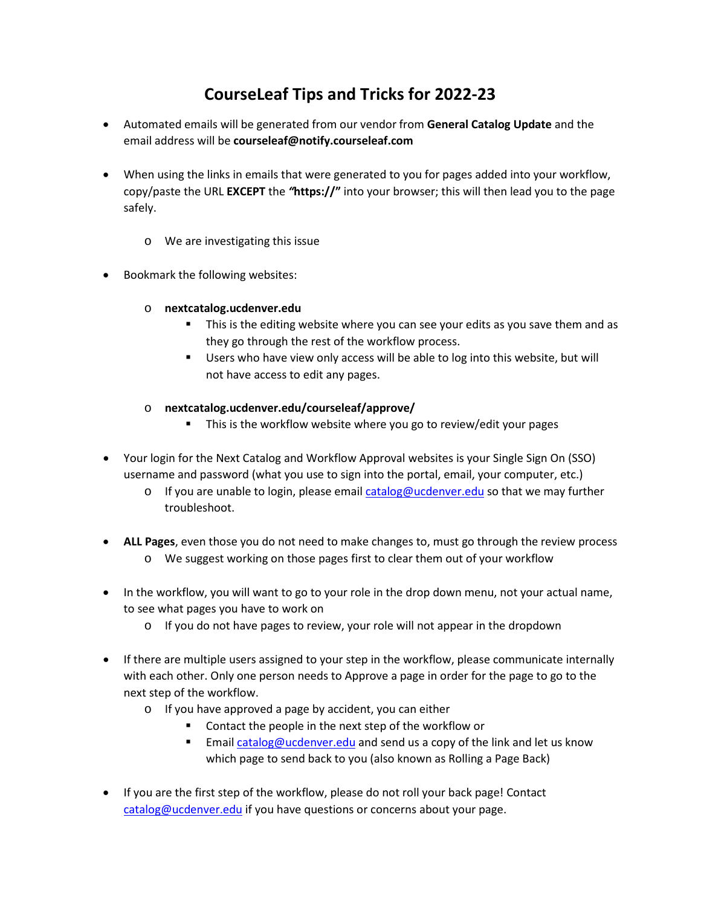## **CourseLeaf Tips and Tricks for 2022-23**

- Automated emails will be generated from our vendor from **General Catalog Update** and the email address will be **courseleaf@notify.courseleaf.com**
- When using the links in emails that were generated to you for pages added into your workflow, copy/paste the URL **EXCEPT** the *"***https://"** into your browser; this will then lead you to the page safely.
	- o We are investigating this issue
- Bookmark the following websites:
	- o **nextcatalog.ucdenver.edu**
		- **This is the editing website where you can see your edits as you save them and as** they go through the rest of the workflow process.
		- **Users who have view only access will be able to log into this website, but will** not have access to edit any pages.
	- o **nextcatalog.ucdenver.edu/courseleaf/approve/**
		- This is the workflow website where you go to review/edit your pages
- Your login for the Next Catalog and Workflow Approval websites is your Single Sign On (SSO) username and password (what you use to sign into the portal, email, your computer, etc.)
	- $\circ$  If you are unable to login, please email [catalog@ucdenver.edu](mailto:catalog@ucdenver.edu) so that we may further troubleshoot.
- **ALL Pages**, even those you do not need to make changes to, must go through the review process o We suggest working on those pages first to clear them out of your workflow
- In the workflow, you will want to go to your role in the drop down menu, not your actual name, to see what pages you have to work on
	- $\circ$  If you do not have pages to review, your role will not appear in the dropdown
- If there are multiple users assigned to your step in the workflow, please communicate internally with each other. Only one person needs to Approve a page in order for the page to go to the next step of the workflow.
	- o If you have approved a page by accident, you can either
		- **Contact the people in the next step of the workflow or**
		- Email [catalog@ucdenver.edu](mailto:catalog@ucdenver.edu) and send us a copy of the link and let us know which page to send back to you (also known as Rolling a Page Back)
- If you are the first step of the workflow, please do not roll your back page! Contact [catalog@ucdenver.edu](mailto:catalog@ucdenver.edu) if you have questions or concerns about your page.